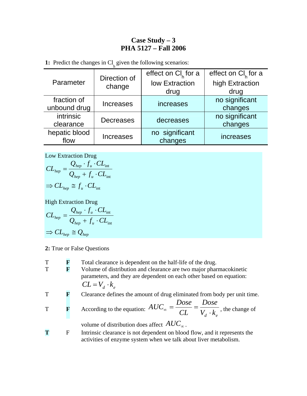## **Case Study – 3 PHA 5127 – Fall 2006**

**1:** Predict the changes in  $Cl<sub>h</sub>$  given the following scenarios:

| Parameter     | Direction of<br>change   | effect on $Cl_{\kappa}$ for a | effect on $Cl_{\kappa}$ for a |
|---------------|--------------------------|-------------------------------|-------------------------------|
|               |                          | low Extraction                | high Extraction               |
|               |                          | drug                          | drug                          |
| fraction of   | <b>Increases</b>         | increases                     | no significant                |
| unbound drug  |                          |                               | changes                       |
| intrinsic     | <b>Decreases</b>         | decreases                     | no significant                |
| clearance     |                          |                               | changes                       |
| hepatic blood | <b>Increases</b><br>flow | no significant                | increases                     |
|               |                          | changes                       |                               |

Low Extraction Drug

$$
CL_{^{hep}} = \frac{Q_{^{hep}} \cdot f_u \cdot CL_{\text{int}}}{Q_{^{hep}} + f_u \cdot CL_{\text{int}}}
$$

$$
\Rightarrow CL_{^{hep}} \cong f_u \cdot CL_{\text{int}}
$$

High Extraction Drug

$$
CL_{^{hep}} = \frac{Q_{_{hep}} \cdot f_u \cdot CL_{_{int}}}{Q_{_{hep}} + f_u \cdot CL_{_{int}}}
$$

$$
\Rightarrow CL_{_{hep}} \cong Q_{_{hep}}
$$

- **2:** True or False Questions
- T **F** Total clearance is dependent on the half-life of the drug. T **F** Volume of distribution and clearance are two major pharmacokinetic parameters, and they are dependent on each other based on equation:  $CL = V_d \cdot k_e$ T **F** Clearance defines the amount of drug eliminated from body per unit time. **F** According to the equation:  $AUC_{\infty} = \frac{1}{CL} = \frac{1}{V_d \cdot k_e}$ *Dose*  $AUC_{\infty} = \frac{Dose}{CL} = \frac{Dose}{V_d \cdot k_e}$ , the change of volume of distribution does affect *AUC*<sup>∞</sup> . **T** F Intrinsic clearance is not dependent on blood flow, and it represents the activities of enzyme system when we talk about liver metabolism.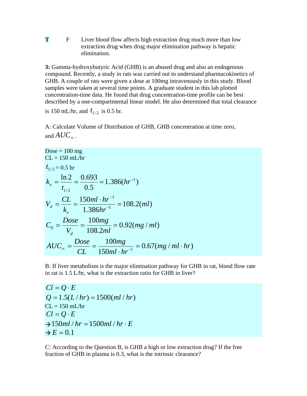**T** F Liver blood flow affects high extraction drug much more than low extraction drug when drug major elimination pathway is hepatic elimination.

**3:** Gamma-hydroxybutyric Acid (GHB) is an abused drug and also an endogenous compound. Recently, a study in rats was carried out to understand pharmacokinetics of GHB. A couple of rats were given a dose at 100mg intravenously in this study. Blood samples were taken at several time points. A graduate student in this lab plotted concentration-time data. He found that drug concentration-time profile can be best described by a one-compartmental linear model. He also determined that total clearance

is 150 mL/hr, and  $t_{1/2}$  is 0.5 hr.

A: Calculate Volume of Distribution of GHB, GHB concentration at time zero, and  $AUC_{\infty}$ .

Dose = 100 mg  
\nCL = 150 mL/hr  
\n
$$
t_{1/2} = 0.5
$$
 hr  
\n $k_e = \frac{\ln 2}{t_{1/2}} = \frac{0.693}{0.5} = 1.386(hr^{-1})$   
\n $V_d = \frac{CL}{k_e} = \frac{150ml \cdot hr^{-1}}{1.386hr^{-1}} = 108.2(ml)$   
\n $C_0 = \frac{Dose}{V_d} = \frac{100mg}{108.2ml} = 0.92(mg / ml)$   
\n $AUC_{\infty} = \frac{Dose}{CL} = \frac{100mg}{150ml \cdot hr^{-1}} = 0.67(mg / ml \cdot hr)$ 

B: If liver metabolism is the major elimination pathway for GHB in rat, blood flow rate in rat is 1.5 L/hr, what is the extraction ratio for GHB in liver?

 $Cl = Q \cdot E$  $Q = 1.5(L/hr) = 1500(ml/hr)$  $CL = 150$  mL/hr  $Cl = Q \cdot E$  $\rightarrow$ 150*ml* / *hr* = 1500*ml* / *hr* · *E*  $\rightarrow E = 0.1$ 

C: According to the Question B, is GHB a high or low extraction drug? If the free fraction of GHB in plasma is 0.3, what is the intrinsic clearance?